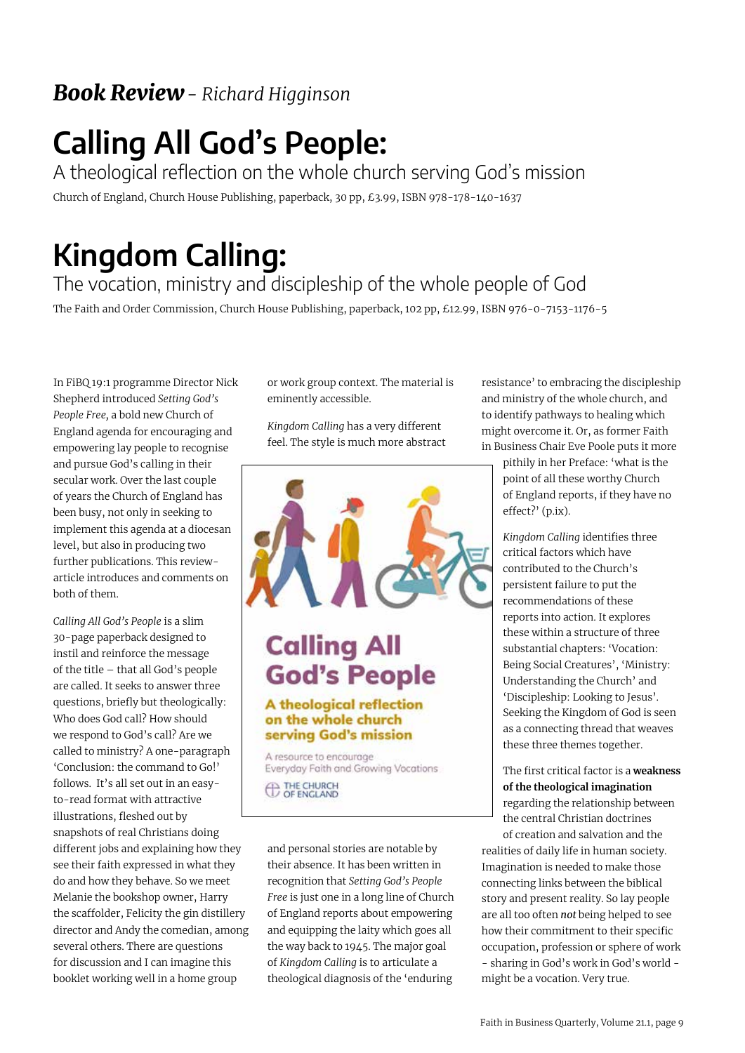### *Book Review- Richard Higginson*

## **Calling All God's People:**

A theological reflection on the whole church serving God's mission Church of England, Church House Publishing, paperback, 30 pp, £3.99, ISBN 978-178-140-1637

## **Kingdom Calling:**

#### The vocation, ministry and discipleship of the whole people of God

The Faith and Order Commission, Church House Publishing, paperback, 102 pp, £12.99, ISBN 976-0-7153-1176-5

In FiBQ 19:1 programme Director Nick Shepherd introduced *Setting God's People Free,* a bold new Church of England agenda for encouraging and empowering lay people to recognise and pursue God's calling in their secular work. Over the last couple of years the Church of England has been busy, not only in seeking to implement this agenda at a diocesan level, but also in producing two further publications. This reviewarticle introduces and comments on both of them.

*Calling All God's People* is a slim 30-page paperback designed to instil and reinforce the message of the title – that all God's people are called. It seeks to answer three questions, briefly but theologically: Who does God call? How should we respond to God's call? Are we called to ministry? A one-paragraph 'Conclusion: the command to Go!' follows. It's all set out in an easyto-read format with attractive illustrations, fleshed out by snapshots of real Christians doing different jobs and explaining how they see their faith expressed in what they do and how they behave. So we meet Melanie the bookshop owner, Harry the scaffolder, Felicity the gin distillery director and Andy the comedian, among several others. There are questions for discussion and I can imagine this booklet working well in a home group

or work group context. The material is eminently accessible.

*Kingdom Calling* has a very different feel. The style is much more abstract



## **Calling All God's People**

#### A theological reflection on the whole church serving God's mission

A resource to encourage Everyday Faith and Growing Vocations **ED THE CHURCH** 

and personal stories are notable by their absence. It has been written in recognition that *Setting God's People Free* is just one in a long line of Church of England reports about empowering and equipping the laity which goes all the way back to 1945. The major goal of *Kingdom Calling* is to articulate a theological diagnosis of the 'enduring resistance' to embracing the discipleship and ministry of the whole church, and to identify pathways to healing which might overcome it. Or, as former Faith in Business Chair Eve Poole puts it more

> pithily in her Preface: 'what is the point of all these worthy Church of England reports, if they have no effect?' (p.ix).

*Kingdom Calling* identifies three critical factors which have contributed to the Church's persistent failure to put the recommendations of these reports into action. It explores these within a structure of three substantial chapters: 'Vocation: Being Social Creatures', 'Ministry: Understanding the Church' and 'Discipleship: Looking to Jesus'. Seeking the Kingdom of God is seen as a connecting thread that weaves these three themes together.

The first critical factor is a **weakness of the theological imagination** regarding the relationship between the central Christian doctrines of creation and salvation and the

**Transcend Staff at Launch** might be a vocation. Very true. realities of daily life in human society. Imagination is needed to make those connecting links between the biblical story and present reality. So lay people are all too often *not* being helped to see how their commitment to their specific occupation, profession or sphere of work - sharing in God's work in God's world -